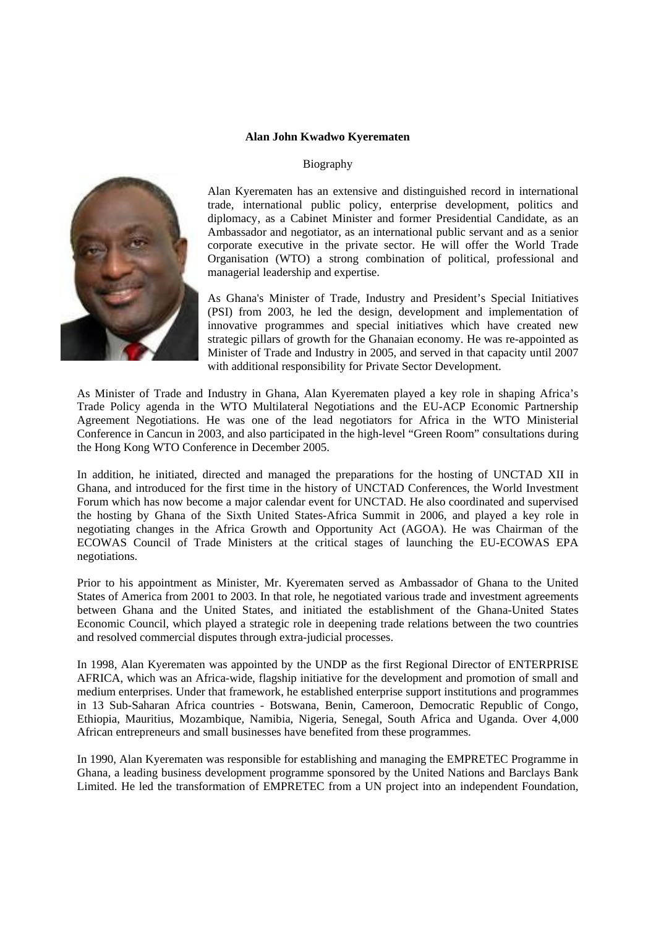## **Alan John Kwadwo Kyerematen**

## Biography



Alan Kyerematen has an extensive and distinguished record in international trade, international public policy, enterprise development, politics and diplomacy, as a Cabinet Minister and former Presidential Candidate, as an Ambassador and negotiator, as an international public servant and as a senior corporate executive in the private sector. He will offer the World Trade Organisation (WTO) a strong combination of political, professional and managerial leadership and expertise.

As Ghana's Minister of Trade, Industry and President's Special Initiatives (PSI) from 2003, he led the design, development and implementation of innovative programmes and special initiatives which have created new strategic pillars of growth for the Ghanaian economy. He was re-appointed as Minister of Trade and Industry in 2005, and served in that capacity until 2007 with additional responsibility for Private Sector Development.

As Minister of Trade and Industry in Ghana, Alan Kyerematen played a key role in shaping Africa's Trade Policy agenda in the WTO Multilateral Negotiations and the EU-ACP Economic Partnership Agreement Negotiations. He was one of the lead negotiators for Africa in the WTO Ministerial Conference in Cancun in 2003, and also participated in the high-level "Green Room" consultations during the Hong Kong WTO Conference in December 2005.

In addition, he initiated, directed and managed the preparations for the hosting of UNCTAD XII in Ghana, and introduced for the first time in the history of UNCTAD Conferences, the World Investment Forum which has now become a major calendar event for UNCTAD. He also coordinated and supervised the hosting by Ghana of the Sixth United States-Africa Summit in 2006, and played a key role in negotiating changes in the Africa Growth and Opportunity Act (AGOA). He was Chairman of the ECOWAS Council of Trade Ministers at the critical stages of launching the EU-ECOWAS EPA negotiations.

Prior to his appointment as Minister, Mr. Kyerematen served as Ambassador of Ghana to the United States of America from 2001 to 2003. In that role, he negotiated various trade and investment agreements between Ghana and the United States, and initiated the establishment of the Ghana-United States Economic Council, which played a strategic role in deepening trade relations between the two countries and resolved commercial disputes through extra-judicial processes.

In 1998, Alan Kyerematen was appointed by the UNDP as the first Regional Director of ENTERPRISE AFRICA, which was an Africa-wide, flagship initiative for the development and promotion of small and medium enterprises. Under that framework, he established enterprise support institutions and programmes in 13 Sub-Saharan Africa countries - Botswana, Benin, Cameroon, Democratic Republic of Congo, Ethiopia, Mauritius, Mozambique, Namibia, Nigeria, Senegal, South Africa and Uganda. Over 4,000 African entrepreneurs and small businesses have benefited from these programmes.

In 1990, Alan Kyerematen was responsible for establishing and managing the EMPRETEC Programme in Ghana, a leading business development programme sponsored by the United Nations and Barclays Bank Limited. He led the transformation of EMPRETEC from a UN project into an independent Foundation,